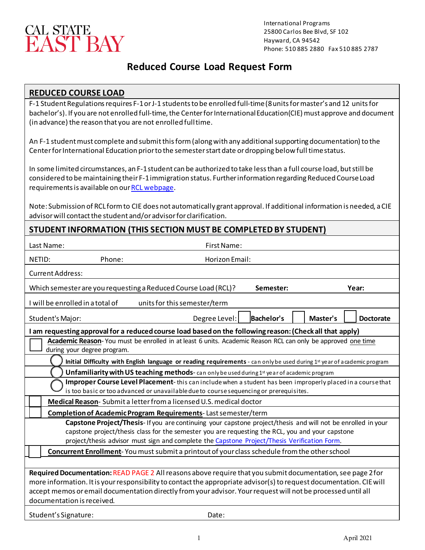

### **Reduced Course Load Request Form**

### **REDUCED COURSE LOAD**

F-1 Student Regulations requires F-1 or J-1 students to be enrolled full-time (8 units for master's and 12 units for bachelor's). If you are not enrolled full-time, the Center for International Education(CIE) must approve and document (in advance) the reason that you are not enrolled full time.

An F-1 student must complete and submit this form (along with any additional supporting documentation) to the Center for International Education prior to the semester start date or dropping below full time status.

In some limited circumstances, an F-1 student can be authorized to take less than a full course load, but still be considered to be maintaining their F-1 immigration status. Further information regarding Reduced Course Load requirements is available on ou[r RCL webpage.](https://www.csueastbay.edu/cie/f-1-students/maintaining-status/reduced-course-load-rcl.html)

Note: Submission of RCL form to CIE does not automatically grant approval. If additional information is needed, a CIE advisor will contact the student and/or advisor for clarification.

## **STUDENT INFORMATION (THIS SECTION MUST BE COMPLETED BY STUDENT)**

|                                                                                                                                                                                                                                                                                                                                                                                   | Last Name:       | First Name:                                                                                   |                   |                              |
|-----------------------------------------------------------------------------------------------------------------------------------------------------------------------------------------------------------------------------------------------------------------------------------------------------------------------------------------------------------------------------------|------------------|-----------------------------------------------------------------------------------------------|-------------------|------------------------------|
| NETID:                                                                                                                                                                                                                                                                                                                                                                            | Phone:           | Horizon Email:                                                                                |                   |                              |
| Current Address:                                                                                                                                                                                                                                                                                                                                                                  |                  |                                                                                               |                   |                              |
| Which semester are you requesting a Reduced Course Load (RCL)?<br>Year:<br>Semester:                                                                                                                                                                                                                                                                                              |                  |                                                                                               |                   |                              |
| I will be enrolled in a total of<br>units for this semester/term                                                                                                                                                                                                                                                                                                                  |                  |                                                                                               |                   |                              |
|                                                                                                                                                                                                                                                                                                                                                                                   | Student's Major: | Degree Level:                                                                                 | <b>Bachelor's</b> | Master's<br><b>Doctorate</b> |
| I am requesting approval for a reduced course load based on the following reason: (Check all that apply)                                                                                                                                                                                                                                                                          |                  |                                                                                               |                   |                              |
| Academic Reason-You must be enrolled in at least 6 units. Academic Reason RCL can only be approved one time<br>during your degree program.                                                                                                                                                                                                                                        |                  |                                                                                               |                   |                              |
| Initial Difficulty with English language or reading requirements - can only be used during 1st year of academic program                                                                                                                                                                                                                                                           |                  |                                                                                               |                   |                              |
| Unfamiliarity with US teaching methods-can only be used during 1st year of academic program                                                                                                                                                                                                                                                                                       |                  |                                                                                               |                   |                              |
| Improper Course Level Placement-this can include when a student has been improperly placed in a course that<br>is too basic or too advanced or unavailable due to course sequencing or prerequisites.                                                                                                                                                                             |                  |                                                                                               |                   |                              |
|                                                                                                                                                                                                                                                                                                                                                                                   |                  | Medical Reason-Submit a letter from a licensed U.S. medical doctor                            |                   |                              |
|                                                                                                                                                                                                                                                                                                                                                                                   |                  | Completion of Academic Program Requirements-Last semester/term                                |                   |                              |
| Capstone Project/Thesis-If you are continuing your capstone project/thesis and will not be enrolled in your<br>capstone project/thesis class for the semester you are requesting the RCL, you and your capstone<br>project/thesis advisor must sign and complete the Capstone Project/Thesis Verification Form.                                                                   |                  |                                                                                               |                   |                              |
|                                                                                                                                                                                                                                                                                                                                                                                   |                  | Concurrent Enrollment-You must submit a printout of your class schedule from the other school |                   |                              |
|                                                                                                                                                                                                                                                                                                                                                                                   |                  |                                                                                               |                   |                              |
| Required Documentation: READ PAGE 2 All reasons above require that you submit documentation, see page 2 for<br>more information. It is your responsibility to contact the appropriate advisor(s) to request documentation. CIE will<br>accept memos or email documentation directly from your advisor. Your request will not be processed until all<br>documentation is received. |                  |                                                                                               |                   |                              |
| Student's Signature:<br>Date:                                                                                                                                                                                                                                                                                                                                                     |                  |                                                                                               |                   |                              |